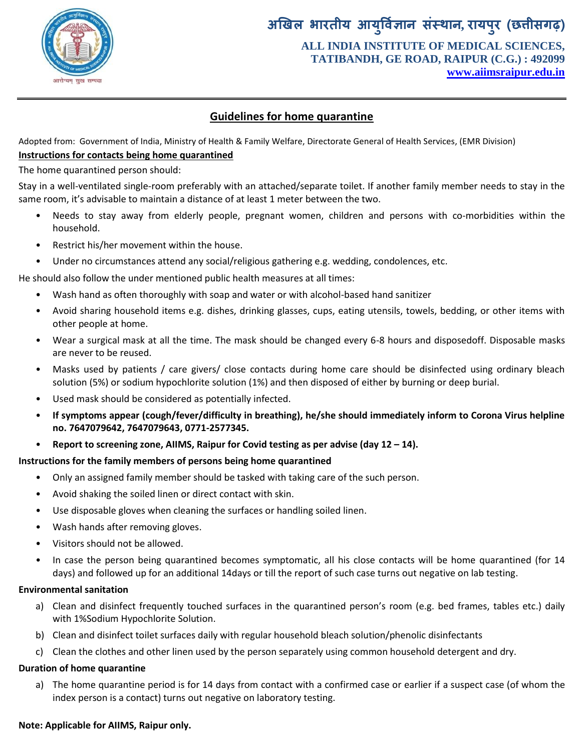

# **अखिऱ भारतीय आयर् ु वऻि ान संस्थान, रायऩरु )छत्तीसगढ़( ALL INDIA INSTITUTE OF MEDICAL SCIENCES, TATIBANDH, GE ROAD, RAIPUR (C.G.) : 492099 [www.aiimsraipur.edu.in](http://www.aiimsraipur.edu.in/)**

# **Guidelines for home quarantine**

Adopted from: Government of India, Ministry of Health & Family Welfare, Directorate General of Health Services, (EMR Division) **Instructions for contacts being home quarantined**

The home quarantined person should:

Stay in a well-ventilated single-room preferably with an attached/separate toilet. If another family member needs to stay in the same room, it's advisable to maintain a distance of at least 1 meter between the two.

- Needs to stay away from elderly people, pregnant women, children and persons with co-morbidities within the household.
- Restrict his/her movement within the house.
- Under no circumstances attend any social/religious gathering e.g. wedding, condolences, etc.

He should also follow the under mentioned public health measures at all times:

- Wash hand as often thoroughly with soap and water or with alcohol-based hand sanitizer
- Avoid sharing household items e.g. dishes, drinking glasses, cups, eating utensils, towels, bedding, or other items with other people at home.
- Wear a surgical mask at all the time. The mask should be changed every 6-8 hours and disposedoff. Disposable masks are never to be reused.
- Masks used by patients / care givers/ close contacts during home care should be disinfected using ordinary bleach solution (5%) or sodium hypochlorite solution (1%) and then disposed of either by burning or deep burial.
- Used mask should be considered as potentially infected.
- **If symptoms appear (cough/fever/difficulty in breathing), he/she should immediately inform to Corona Virus helpline no. 7647079642, 7647079643, 0771-2577345.**
- **Report to screening zone, AIIMS, Raipur for Covid testing as per advise (day 12 – 14).**

### **Instructions for the family members of persons being home quarantined**

- Only an assigned family member should be tasked with taking care of the such person.
- Avoid shaking the soiled linen or direct contact with skin.
- Use disposable gloves when cleaning the surfaces or handling soiled linen.
- Wash hands after removing gloves.
- Visitors should not be allowed.
- In case the person being quarantined becomes symptomatic, all his close contacts will be home quarantined (for 14 days) and followed up for an additional 14days or till the report of such case turns out negative on lab testing.

### **Environmental sanitation**

- a) Clean and disinfect frequently touched surfaces in the quarantined person's room (e.g. bed frames, tables etc.) daily with 1%Sodium Hypochlorite Solution.
- b) Clean and disinfect toilet surfaces daily with regular household bleach solution/phenolic disinfectants
- c) Clean the clothes and other linen used by the person separately using common household detergent and dry.

### **Duration of home quarantine**

a) The home quarantine period is for 14 days from contact with a confirmed case or earlier if a suspect case (of whom the index person is a contact) turns out negative on laboratory testing.

### **Note: Applicable for AIIMS, Raipur only.**